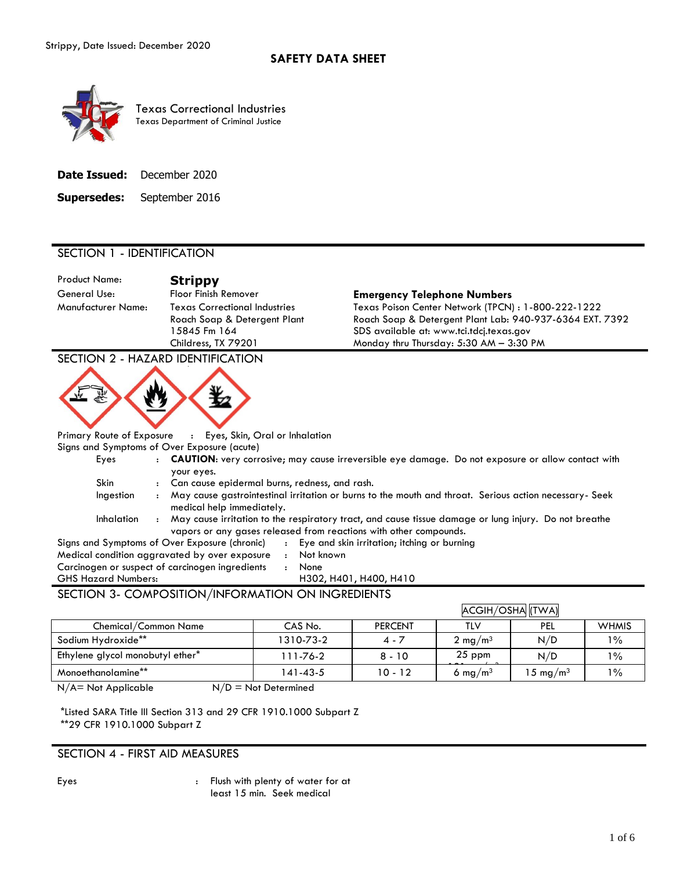

Texas Correctional Industries Texas Department of Criminal Justice

**Supersedes:** September 2016

# SECTION 1 - IDENTIFICATION

Product Name: **Strippy**

Manufacturer Name: Texas Correctional Industries Roach Soap & Detergent Plant 15845 Fm 164 Childress, TX 79201

## General Use: Floor Finish Remover **Emergency Telephone Numbers**

Texas Poison Center Network (TPCN) : 1-800-222-1222 Roach Soap & Detergent Plant Lab: 940-937-6364 EXT. 7392 SDS available at: www.tci.tdcj.texas.gov Monday thru Thursday: 5:30 AM – 3:30 PM

SECTION 2 - HAZARD IDENTIFICATION



Primary Route of Exposure : Eyes, Skin, Oral or Inhalation

Signs and Symptoms of Over Exposure (acute)

| Eyes       |                      | <b>CAUTION:</b> very corrosive; may cause irreversible eye damage. Do not exposure or allow contact with                                                                   |
|------------|----------------------|----------------------------------------------------------------------------------------------------------------------------------------------------------------------------|
|            |                      | your eyes.                                                                                                                                                                 |
| Skin       | $\mathbf{r}$         | Can cause epidermal burns, redness, and rash.                                                                                                                              |
| Ingestion  | $\ddot{\phantom{a}}$ | May cause gastrointestinal irritation or burns to the mouth and throat. Serious action necessary- Seek<br>medical help immediately.                                        |
| Inhalation |                      | May cause irritation to the respiratory tract, and cause tissue damage or lung injury. Do not breathe<br>vapors or any gases released from reactions with other compounds. |

| $A = A + A + A$                                 |              |                                               |
|-------------------------------------------------|--------------|-----------------------------------------------|
| <b>GHS Hazard Numbers:</b>                      |              | H302, H401, H400, H410                        |
| Carcinogen or suspect of carcinogen ingredients |              | None                                          |
| Medical condition aggravated by over exposure   | $\mathbf{r}$ | Not known                                     |
| Signs and Symptoms of Over Exposure (chronic)   |              | : Eye and skin irritation; itching or burning |

# SECTION 3- COMPOSITION/INFORMATION ON INGREDIENTS

|                                  |           |                |                     | ACGIH/OSHA (TWA)    |              |
|----------------------------------|-----------|----------------|---------------------|---------------------|--------------|
| Chemical/Common Name             | CAS No.   | <b>PERCENT</b> | TLV                 | PEL                 | <b>WHMIS</b> |
| Sodium Hydroxide**               | 1310-73-2 | $4 - 7$        | 2 mg/m <sup>3</sup> | N/D                 | $1\%$        |
| Ethylene glycol monobutyl ether* | 111-76-2  | $8 - 10$       | $25$ ppm            | N/D                 | $1\%$        |
| Monoethanolamine**               | 141-43-5  | $10 - 12$      | 6 mg/m <sup>3</sup> | $15 \text{ mg/m}^3$ | $1\%$        |

 $N/A$  = Not Applicable  $N/D$  = Not Determined

\*Listed SARA Title III Section 313 and 29 CFR 1910.1000 Subpart Z \*\*29 CFR 1910.1000 Subpart Z

# SECTION 4 - FIRST AID MEASURES

Eyes : Flush with plenty of water for at least 15 min. Seek medical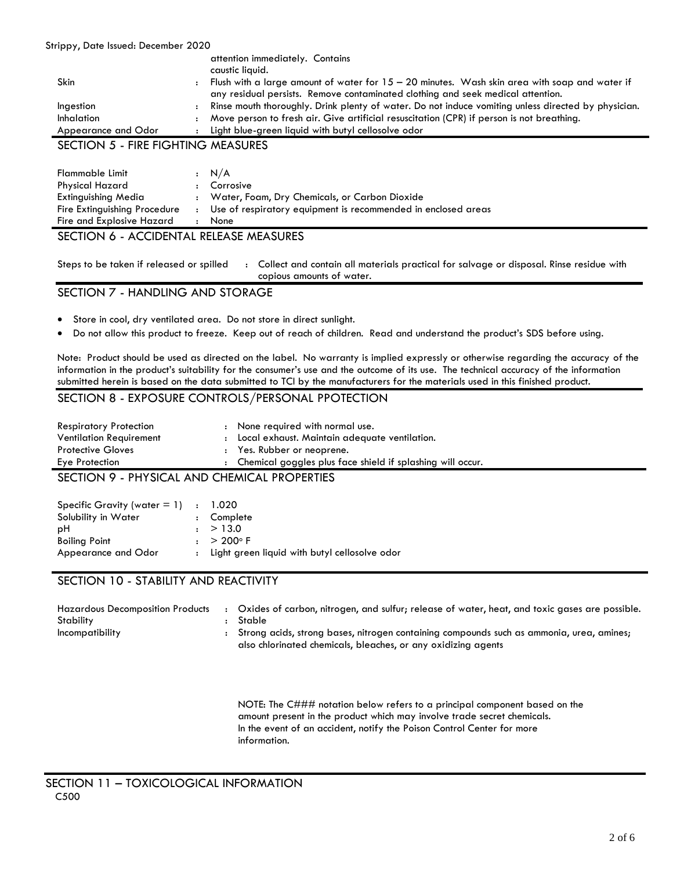#### Strippy, Date Issued: December 2020

|                     | attention immediately. Contains                                                                                         |
|---------------------|-------------------------------------------------------------------------------------------------------------------------|
|                     | caustic liquid.                                                                                                         |
| Skin                | Flush with a large amount of water for $15 - 20$ minutes. Wash skin area with soap and water if<br>$\ddot{\phantom{a}}$ |
|                     | any residual persists. Remove contaminated clothing and seek medical attention.                                         |
| Ingestion           | Rinse mouth thoroughly. Drink plenty of water. Do not induce vomiting unless directed by physician.                     |
| <b>Inhalation</b>   | Move person to fresh air. Give artificial resuscitation (CPR) if person is not breathing.<br>$\cdot$                    |
| Appearance and Odor | Light blue-green liquid with butyl cellosolve odor                                                                      |
|                     |                                                                                                                         |

# SECTION 5 - FIRE FIGHTING MEASURES

| Flammable Limit              | : N/A                                                         |
|------------------------------|---------------------------------------------------------------|
| Physical Hazard              | : Corrosive                                                   |
| Extinguishing Media          | : Water, Foam, Dry Chemicals, or Carbon Dioxide               |
| Fire Extinguishing Procedure | Use of respiratory equipment is recommended in enclosed areas |
| Fire and Explosive Hazard    | <b>None</b>                                                   |

# SECTION 6 - ACCIDENTAL RELEASE MEASURES

Steps to be taken if released or spilled : Collect and contain all materials practical for salvage or disposal. Rinse residue with copious amounts of water.

## SECTION 7 - HANDLING AND STORAGE

- Store in cool, dry ventilated area. Do not store in direct sunlight.
- Do not allow this product to freeze. Keep out of reach of children. Read and understand the product's SDS before using.

Note: Product should be used as directed on the label. No warranty is implied expressly or otherwise regarding the accuracy of the information in the product's suitability for the consumer's use and the outcome of its use. The technical accuracy of the information submitted herein is based on the data submitted to TCI by the manufacturers for the materials used in this finished product.

# SECTION 8 - EXPOSURE CONTROLS/PERSONAL PPOTECTION

| <b>Respiratory Protection</b>              | : None required with normal use.                             |
|--------------------------------------------|--------------------------------------------------------------|
| <b>Ventilation Requirement</b>             | : Local exhaust. Maintain adequate ventilation.              |
| <b>Protective Gloves</b>                   | : Yes. Rubber or neoprene.                                   |
| Eye Protection                             | : Chemical goggles plus face shield if splashing will occur. |
| CECTION O DUVCICAL AND CUEMICAL DRODEDTIES |                                                              |

SECTION 9 - PHYSICAL AND CHEMICAL PROPERTIES

| Specific Gravity (water $= 1$ ) : 1.020 |                                                 |
|-----------------------------------------|-------------------------------------------------|
| Solubility in Water                     | : Complete                                      |
| ыH                                      | : > 13.0                                        |
| <b>Boiling Point</b>                    | $: > 200^{\circ}$ F                             |
| Appearance and Odor                     | : Light green liquid with butyl cellosolve odor |

# SECTION 10 - STABILITY AND REACTIVITY

| Hazardous Decomposition Products<br>Stability | Oxides of carbon, nitrogen, and sulfur; release of water, heat, and toxic gases are possible.<br>Stable |
|-----------------------------------------------|---------------------------------------------------------------------------------------------------------|
| Incompatibility                               | Strong acids, strong bases, nitrogen containing compounds such as ammonia, urea, amines;                |
|                                               | also chlorinated chemicals, bleaches, or any oxidizing agents                                           |

NOTE: The C### notation below refers to a principal component based on the amount present in the product which may involve trade secret chemicals. In the event of an accident, notify the Poison Control Center for more information.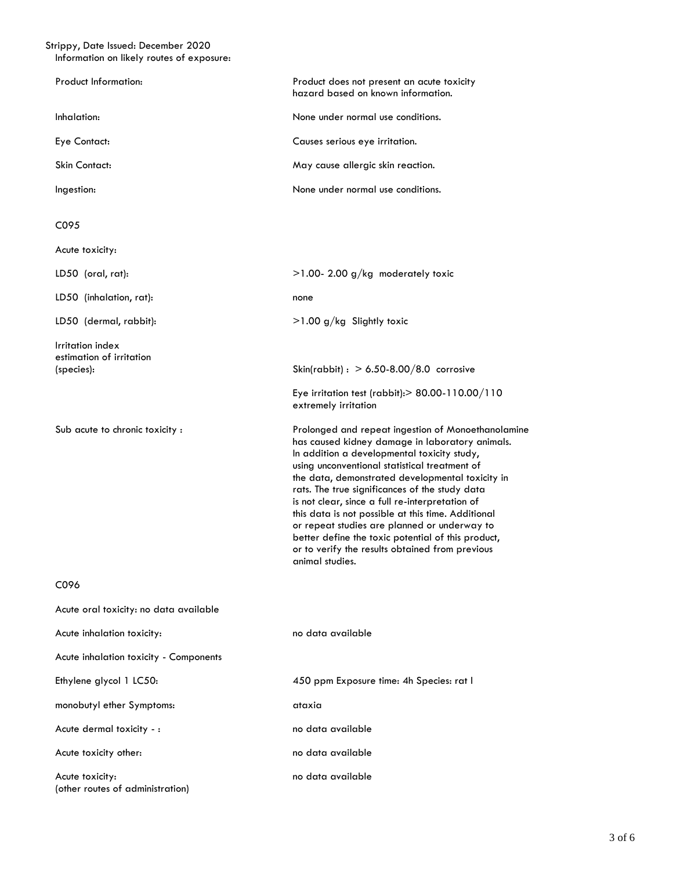#### Strippy, Date Issued: December 2020 Information on likely routes of exposure:

| Product Information:                                       | Product does not present an acute toxicity<br>hazard based on known information.                                                                                                                                                                                                                                                                                                                                                                                                                                                                                                                 |
|------------------------------------------------------------|--------------------------------------------------------------------------------------------------------------------------------------------------------------------------------------------------------------------------------------------------------------------------------------------------------------------------------------------------------------------------------------------------------------------------------------------------------------------------------------------------------------------------------------------------------------------------------------------------|
| Inhalation:                                                | None under normal use conditions.                                                                                                                                                                                                                                                                                                                                                                                                                                                                                                                                                                |
| Eye Contact:                                               | Causes serious eye irritation.                                                                                                                                                                                                                                                                                                                                                                                                                                                                                                                                                                   |
| Skin Contact:                                              | May cause allergic skin reaction.                                                                                                                                                                                                                                                                                                                                                                                                                                                                                                                                                                |
| Ingestion:                                                 | None under normal use conditions.                                                                                                                                                                                                                                                                                                                                                                                                                                                                                                                                                                |
| C095                                                       |                                                                                                                                                                                                                                                                                                                                                                                                                                                                                                                                                                                                  |
| Acute toxicity:                                            |                                                                                                                                                                                                                                                                                                                                                                                                                                                                                                                                                                                                  |
| LD50 (oral, rat):                                          | $>1.00$ - 2.00 g/kg moderately toxic                                                                                                                                                                                                                                                                                                                                                                                                                                                                                                                                                             |
| LD50 (inhalation, rat):                                    | none                                                                                                                                                                                                                                                                                                                                                                                                                                                                                                                                                                                             |
| LD50 (dermal, rabbit):                                     | $>1.00$ g/kg Slightly toxic                                                                                                                                                                                                                                                                                                                                                                                                                                                                                                                                                                      |
| Irritation index<br>estimation of irritation<br>(species): | Skin(rabbit): $> 6.50 - 8.00 / 8.0$ corrosive<br>Eye irritation test (rabbit): > 80.00-110.00/110<br>extremely irritation                                                                                                                                                                                                                                                                                                                                                                                                                                                                        |
| Sub acute to chronic toxicity :                            | Prolonged and repeat ingestion of Monoethanolamine<br>has caused kidney damage in laboratory animals.<br>In addition a developmental toxicity study,<br>using unconventional statistical treatment of<br>the data, demonstrated developmental toxicity in<br>rats. The true significances of the study data<br>is not clear, since a full re-interpretation of<br>this data is not possible at this time. Additional<br>or repeat studies are planned or underway to<br>better define the toxic potential of this product,<br>or to verify the results obtained from previous<br>animal studies. |
| C096                                                       |                                                                                                                                                                                                                                                                                                                                                                                                                                                                                                                                                                                                  |
| Acute oral toxicity: no data available                     |                                                                                                                                                                                                                                                                                                                                                                                                                                                                                                                                                                                                  |
| Acute inhalation toxicity:                                 | no data available                                                                                                                                                                                                                                                                                                                                                                                                                                                                                                                                                                                |
| Acute inhalation toxicity - Components                     |                                                                                                                                                                                                                                                                                                                                                                                                                                                                                                                                                                                                  |
| Ethylene glycol 1 LC50:                                    | 450 ppm Exposure time: 4h Species: rat I                                                                                                                                                                                                                                                                                                                                                                                                                                                                                                                                                         |
| monobutyl ether Symptoms:                                  | ataxia                                                                                                                                                                                                                                                                                                                                                                                                                                                                                                                                                                                           |
| Acute dermal toxicity - :                                  | no data available                                                                                                                                                                                                                                                                                                                                                                                                                                                                                                                                                                                |
| Acute toxicity other:                                      | no data available                                                                                                                                                                                                                                                                                                                                                                                                                                                                                                                                                                                |
| Acute toxicity:<br>(other routes of administration)        | no data available                                                                                                                                                                                                                                                                                                                                                                                                                                                                                                                                                                                |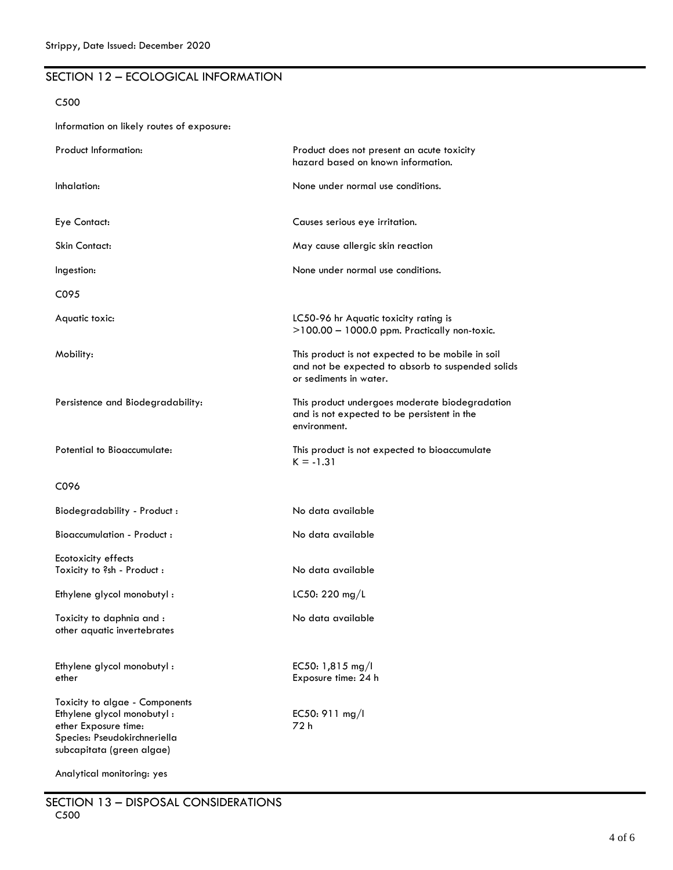# SECTION 12 – ECOLOGICAL INFORMATION

### C500

Information on likely routes of exposure:

| Product Information:                                                                                                                              | Product does not present an acute toxicity<br>hazard based on known information.                                                 |
|---------------------------------------------------------------------------------------------------------------------------------------------------|----------------------------------------------------------------------------------------------------------------------------------|
| Inhalation:                                                                                                                                       | None under normal use conditions.                                                                                                |
| Eye Contact:                                                                                                                                      | Causes serious eye irritation.                                                                                                   |
| <b>Skin Contact:</b>                                                                                                                              | May cause allergic skin reaction                                                                                                 |
| Ingestion:                                                                                                                                        | None under normal use conditions.                                                                                                |
| C095                                                                                                                                              |                                                                                                                                  |
| Aquatic toxic:                                                                                                                                    | LC50-96 hr Aquatic toxicity rating is<br>$>100.00 - 1000.0$ ppm. Practically non-toxic.                                          |
| Mobility:                                                                                                                                         | This product is not expected to be mobile in soil<br>and not be expected to absorb to suspended solids<br>or sediments in water. |
| Persistence and Biodegradability:                                                                                                                 | This product undergoes moderate biodegradation<br>and is not expected to be persistent in the<br>environment.                    |
| Potential to Bioaccumulate:                                                                                                                       | This product is not expected to bioaccumulate<br>$K = -1.31$                                                                     |
| C096                                                                                                                                              |                                                                                                                                  |
| Biodegradability - Product:                                                                                                                       | No data available                                                                                                                |
| Bioaccumulation - Product:                                                                                                                        | No data available                                                                                                                |
| Ecotoxicity effects<br>Toxicity to ?sh - Product :                                                                                                | No data available                                                                                                                |
| Ethylene glycol monobutyl:                                                                                                                        | LC50: 220 mg/L                                                                                                                   |
| Toxicity to daphnia and :<br>other aquatic invertebrates                                                                                          | No data available                                                                                                                |
| Ethylene glycol monobutyl:<br>ether                                                                                                               | EC50: 1,815 mg/l<br>Exposure time: 24 h                                                                                          |
| Toxicity to algae - Components<br>Ethylene glycol monobutyl:<br>ether Exposure time:<br>Species: Pseudokirchneriella<br>subcapitata (green algae) | EC50: 911 mg/l<br>72 h                                                                                                           |
| Analytical monitoring: yes                                                                                                                        |                                                                                                                                  |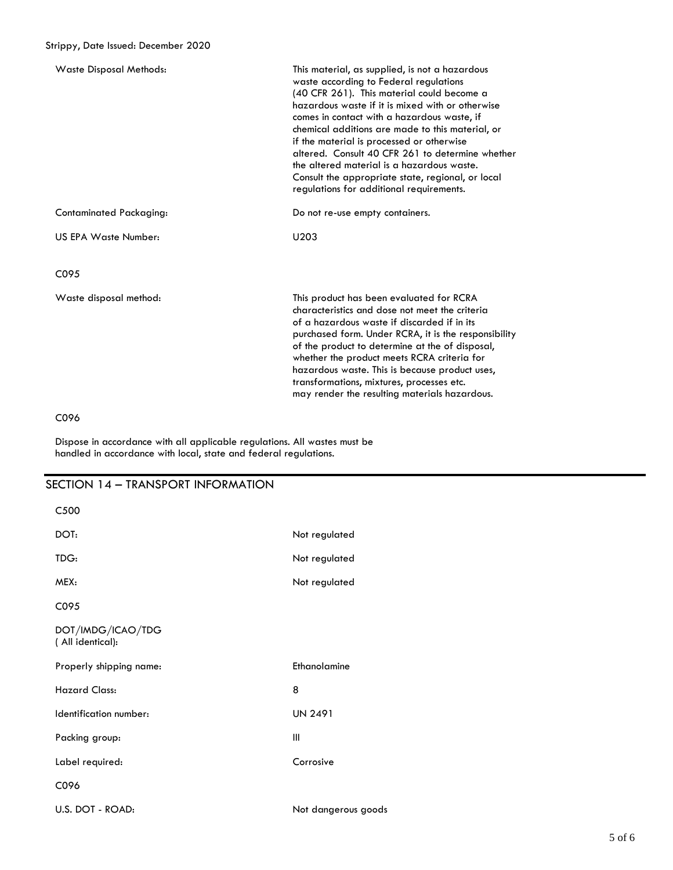| <b>Waste Disposal Methods:</b> | This material, as supplied, is not a hazardous<br>waste according to Federal regulations<br>(40 CFR 261). This material could become a<br>hazardous waste if it is mixed with or otherwise<br>comes in contact with a hazardous waste, if<br>chemical additions are made to this material, or<br>if the material is processed or otherwise<br>altered. Consult 40 CFR 261 to determine whether<br>the altered material is a hazardous waste.<br>Consult the appropriate state, regional, or local<br>regulations for additional requirements. |
|--------------------------------|-----------------------------------------------------------------------------------------------------------------------------------------------------------------------------------------------------------------------------------------------------------------------------------------------------------------------------------------------------------------------------------------------------------------------------------------------------------------------------------------------------------------------------------------------|
| Contaminated Packaging:        | Do not re-use empty containers.                                                                                                                                                                                                                                                                                                                                                                                                                                                                                                               |
| US EPA Waste Number:           | U <sub>203</sub>                                                                                                                                                                                                                                                                                                                                                                                                                                                                                                                              |
| C <sub>095</sub>               |                                                                                                                                                                                                                                                                                                                                                                                                                                                                                                                                               |
| Waste disposal method:         | This product has been evaluated for RCRA<br>characteristics and dose not meet the criteria<br>of a hazardous waste if discarded if in its<br>purchased form. Under RCRA, it is the responsibility<br>of the product to determine at the of disposal,<br>whether the product meets RCRA criteria for<br>hazardous waste. This is because product uses,<br>transformations, mixtures, processes etc.<br>may render the resulting materials hazardous.                                                                                           |

# C096

Dispose in accordance with all applicable regulations. All wastes must be handled in accordance with local, state and federal regulations.

# SECTION 14 – TRANSPORT INFORMATION

| C500                                  |                     |
|---------------------------------------|---------------------|
| DOT:                                  | Not regulated       |
| TDG:                                  | Not regulated       |
| MEX:                                  | Not regulated       |
| C095                                  |                     |
| DOT/IMDG/ICAO/TDG<br>(All identical): |                     |
| Properly shipping name:               | Ethanolamine        |
| <b>Hazard Class:</b>                  | 8                   |
| Identification number:                | <b>UN 2491</b>      |
| Packing group:                        | Ш                   |
| Label required:                       | Corrosive           |
| C096                                  |                     |
| U.S. DOT - ROAD:                      | Not dangerous goods |